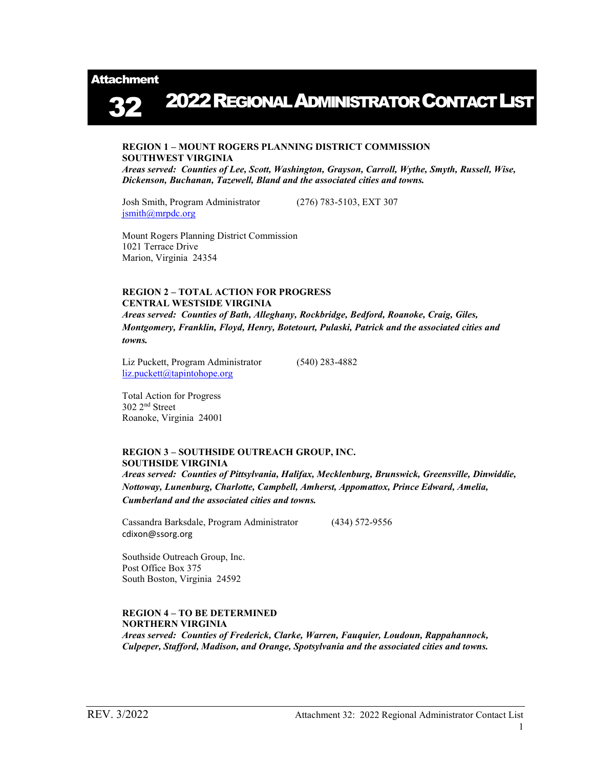Attachment

2022REGIONAL ADMINISTRATOR CONTACT LIST 32

### REGION 1 – MOUNT ROGERS PLANNING DISTRICT COMMISSION SOUTHWEST VIRGINIA

Areas served: Counties of Lee, Scott, Washington, Grayson, Carroll, Wythe, Smyth, Russell, Wise, Dickenson, Buchanan, Tazewell, Bland and the associated cities and towns.

Josh Smith, Program Administrator (276) 783-5103, EXT 307 jsmith@mrpdc.org

Mount Rogers Planning District Commission 1021 Terrace Drive Marion, Virginia 24354

## REGION 2 – TOTAL ACTION FOR PROGRESS CENTRAL WESTSIDE VIRGINIA

Areas served: Counties of Bath, Alleghany, Rockbridge, Bedford, Roanoke, Craig, Giles, Montgomery, Franklin, Floyd, Henry, Botetourt, Pulaski, Patrick and the associated cities and towns.

Liz Puckett, Program Administrator (540) 283-4882 liz.puckett@tapintohope.org

 Total Action for Progress 302 2nd Street Roanoke, Virginia 24001

### REGION 3 – SOUTHSIDE OUTREACH GROUP, INC. SOUTHSIDE VIRGINIA

Areas served: Counties of Pittsylvania, Halifax, Mecklenburg, Brunswick, Greensville, Dinwiddie, Nottoway, Lunenburg, Charlotte, Campbell, Amherst, Appomattox, Prince Edward, Amelia, Cumberland and the associated cities and towns.

Cassandra Barksdale, Program Administrator (434) 572-9556 cdixon@ssorg.org

Southside Outreach Group, Inc. Post Office Box 375 South Boston, Virginia 24592

#### REGION 4 – TO BE DETERMINED NORTHERN VIRGINIA

Areas served: Counties of Frederick, Clarke, Warren, Fauquier, Loudoun, Rappahannock, Culpeper, Stafford, Madison, and Orange, Spotsylvania and the associated cities and towns.